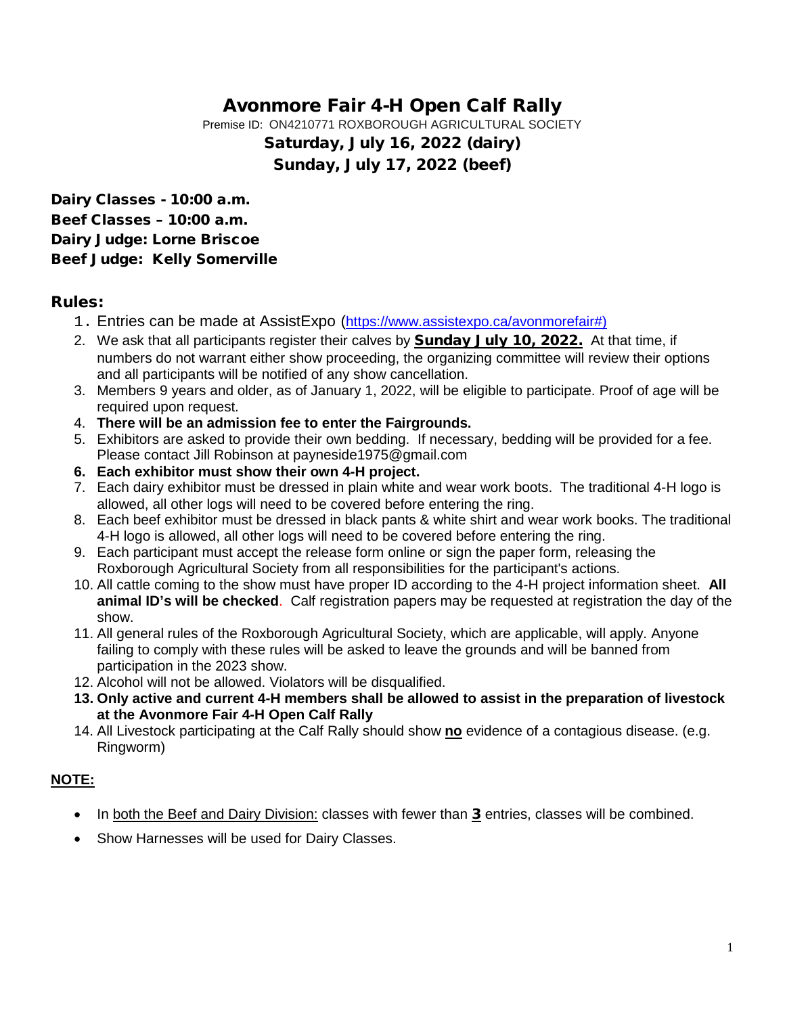# Avonmore Fair 4-H Open Calf Rally

Premise ID: ON4210771 ROXBOROUGH AGRICULTURAL SOCIETY

Saturday, July 16, 2022 (dairy) Sunday, July 17, 2022 (beef)

Dairy Classes - 10:00 a.m. Beef Classes – 10:00 a.m. Dairy Judge: Lorne Briscoe Beef Judge: Kelly Somerville

## Rules:

- 1. Entries can be made at AssistExpo [\(https://www.assistexpo.ca/avonmorefair#\)](about:blank)
- 2. We ask that all participants register their calves by **Sunday July 10, 2022.** At that time, if numbers do not warrant either show proceeding, the organizing committee will review their options and all participants will be notified of any show cancellation.
- 3. Members 9 years and older, as of January 1, 2022, will be eligible to participate. Proof of age will be required upon request.
- 4. **There will be an admission fee to enter the Fairgrounds.**
- 5. Exhibitors are asked to provide their own bedding. If necessary, bedding will be provided for a fee. Please contact Jill Robinson at payneside1975@gmail.com
- **6. Each exhibitor must show their own 4-H project.**
- 7. Each dairy exhibitor must be dressed in plain white and wear work boots. The traditional 4-H logo is allowed, all other logs will need to be covered before entering the ring.
- 8. Each beef exhibitor must be dressed in black pants & white shirt and wear work books. The traditional 4-H logo is allowed, all other logs will need to be covered before entering the ring.
- 9. Each participant must accept the release form online or sign the paper form, releasing the Roxborough Agricultural Society from all responsibilities for the participant's actions.
- 10. All cattle coming to the show must have proper ID according to the 4-H project information sheet. **All animal ID's will be checked**. Calf registration papers may be requested at registration the day of the show.
- 11. All general rules of the Roxborough Agricultural Society, which are applicable, will apply. Anyone failing to comply with these rules will be asked to leave the grounds and will be banned from participation in the 2023 show.
- 12. Alcohol will not be allowed. Violators will be disqualified.
- **13. Only active and current 4-H members shall be allowed to assist in the preparation of livestock at the Avonmore Fair 4-H Open Calf Rally**
- 14. All Livestock participating at the Calf Rally should show **no** evidence of a contagious disease. (e.g. Ringworm)

## **NOTE:**

- In both the Beef and Dairy Division: classes with fewer than 3 entries, classes will be combined.
- Show Harnesses will be used for Dairy Classes.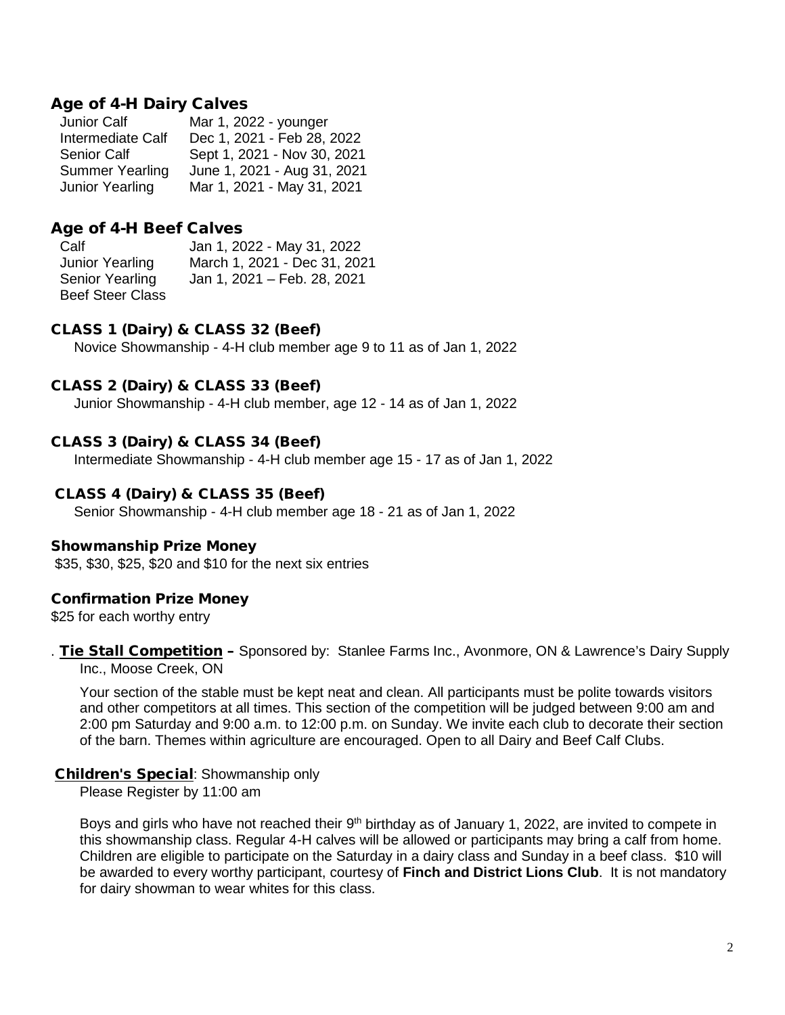## Age of 4-H Dairy Calves

| Mar 1, 2022 - younger       |
|-----------------------------|
| Dec 1, 2021 - Feb 28, 2022  |
| Sept 1, 2021 - Nov 30, 2021 |
| June 1, 2021 - Aug 31, 2021 |
| Mar 1, 2021 - May 31, 2021  |
|                             |

## Age of 4-H Beef Calves

Calf Jan 1, 2022 - May 31, 2022 March 1, 2021 - Dec 31, 2021 Senior Yearling Jan 1, 2021 – Feb. 28, 2021 Beef Steer Class

### CLASS 1 (Dairy) & CLASS 32 (Beef)

Novice Showmanship - 4-H club member age 9 to 11 as of Jan 1, 2022

### CLASS 2 (Dairy) & CLASS 33 (Beef)

Junior Showmanship - 4-H club member, age 12 - 14 as of Jan 1, 2022

#### CLASS 3 (Dairy) & CLASS 34 (Beef)

Intermediate Showmanship - 4-H club member age 15 - 17 as of Jan 1, 2022

## CLASS 4 (Dairy) & CLASS 35 (Beef)

Senior Showmanship - 4-H club member age 18 - 21 as of Jan 1, 2022

#### Showmanship Prize Money

\$35, \$30, \$25, \$20 and \$10 for the next six entries

#### Confirmation Prize Money

\$25 for each worthy entry

. Tie Stall Competition - Sponsored by: Stanlee Farms Inc., Avonmore, ON & Lawrence's Dairy Supply Inc., Moose Creek, ON

Your section of the stable must be kept neat and clean. All participants must be polite towards visitors and other competitors at all times. This section of the competition will be judged between 9:00 am and 2:00 pm Saturday and 9:00 a.m. to 12:00 p.m. on Sunday. We invite each club to decorate their section of the barn. Themes within agriculture are encouraged. Open to all Dairy and Beef Calf Clubs.

#### Children's Special: Showmanship only

Please Register by 11:00 am

Boys and girls who have not reached their  $9<sup>th</sup>$  birthday as of January 1, 2022, are invited to compete in this showmanship class. Regular 4-H calves will be allowed or participants may bring a calf from home. Children are eligible to participate on the Saturday in a dairy class and Sunday in a beef class. \$10 will be awarded to every worthy participant, courtesy of **Finch and District Lions Club**. It is not mandatory for dairy showman to wear whites for this class.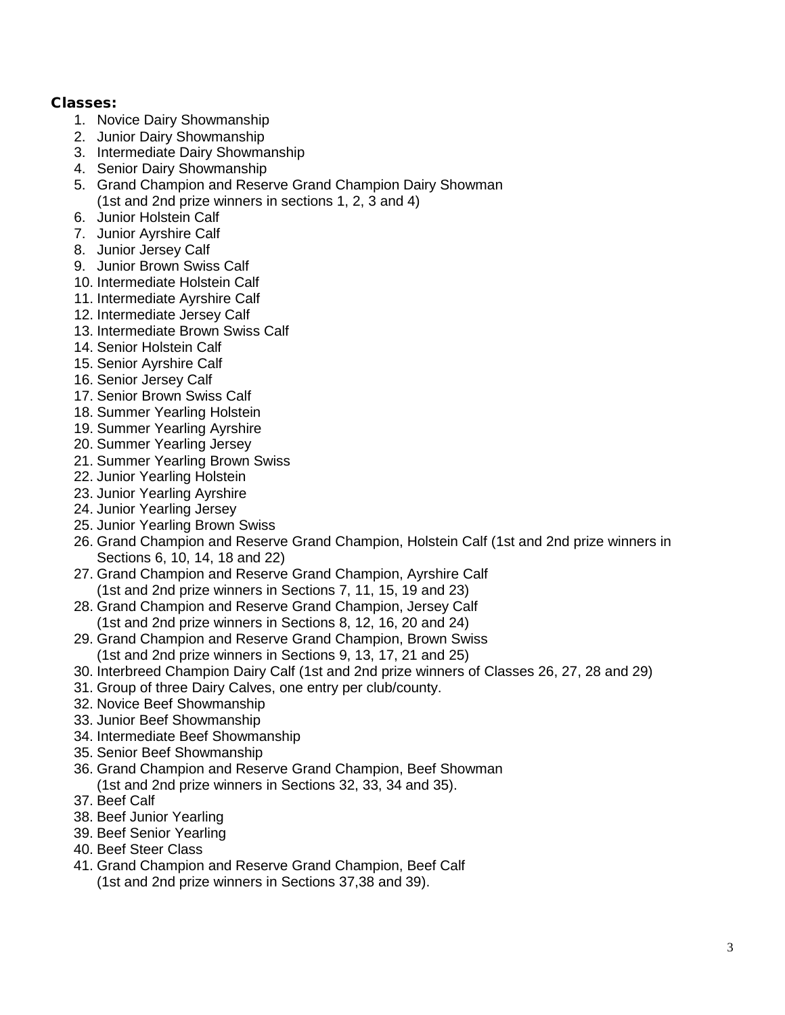## Classes:

- 1. Novice Dairy Showmanship
- 2. Junior Dairy Showmanship
- 3. Intermediate Dairy Showmanship
- 4. Senior Dairy Showmanship
- 5. Grand Champion and Reserve Grand Champion Dairy Showman (1st and 2nd prize winners in sections 1, 2, 3 and 4)
- 6. Junior Holstein Calf
- 7. Junior Ayrshire Calf
- 8. Junior Jersey Calf
- 9. Junior Brown Swiss Calf
- 10. Intermediate Holstein Calf
- 11. Intermediate Ayrshire Calf
- 12. Intermediate Jersey Calf
- 13. Intermediate Brown Swiss Calf
- 14. Senior Holstein Calf
- 15. Senior Ayrshire Calf
- 16. Senior Jersey Calf
- 17. Senior Brown Swiss Calf
- 18. Summer Yearling Holstein
- 19. Summer Yearling Ayrshire
- 20. Summer Yearling Jersey
- 21. Summer Yearling Brown Swiss
- 22. Junior Yearling Holstein
- 23. Junior Yearling Ayrshire
- 24. Junior Yearling Jersey
- 25. Junior Yearling Brown Swiss
- 26. Grand Champion and Reserve Grand Champion, Holstein Calf (1st and 2nd prize winners in Sections 6, 10, 14, 18 and 22)
- 27. Grand Champion and Reserve Grand Champion, Ayrshire Calf (1st and 2nd prize winners in Sections 7, 11, 15, 19 and 23)
- 28. Grand Champion and Reserve Grand Champion, Jersey Calf (1st and 2nd prize winners in Sections 8, 12, 16, 20 and 24)
- 29. Grand Champion and Reserve Grand Champion, Brown Swiss (1st and 2nd prize winners in Sections 9, 13, 17, 21 and 25)
- 30. Interbreed Champion Dairy Calf (1st and 2nd prize winners of Classes 26, 27, 28 and 29)
- 31. Group of three Dairy Calves, one entry per club/county.
- 32. Novice Beef Showmanship
- 33. Junior Beef Showmanship
- 34. Intermediate Beef Showmanship
- 35. Senior Beef Showmanship
- 36. Grand Champion and Reserve Grand Champion, Beef Showman (1st and 2nd prize winners in Sections 32, 33, 34 and 35).
- 37. Beef Calf
- 38. Beef Junior Yearling
- 39. Beef Senior Yearling
- 40. Beef Steer Class
- 41. Grand Champion and Reserve Grand Champion, Beef Calf (1st and 2nd prize winners in Sections 37,38 and 39).